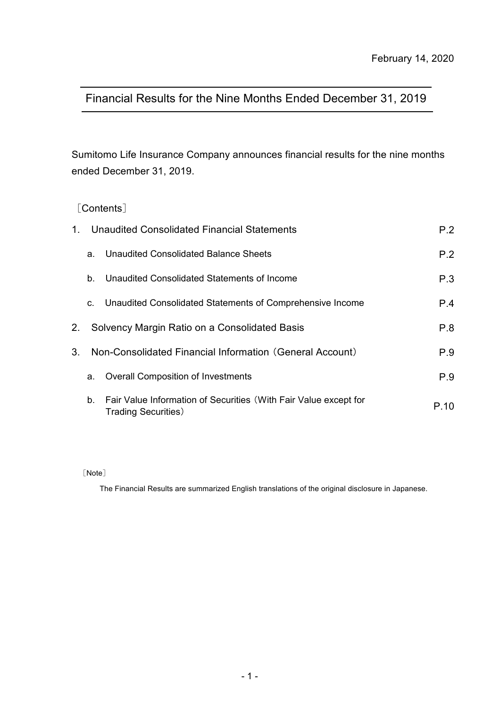# Financial Results for the Nine Months Ended December 31, 2019

Sumitomo Life Insurance Company announces financial results for the nine months ended December 31, 2019.

## [Contents]

| $1_{-}$ | Unaudited Consolidated Financial Statements              | P.2                                                                                             |      |
|---------|----------------------------------------------------------|-------------------------------------------------------------------------------------------------|------|
|         | a.                                                       | Unaudited Consolidated Balance Sheets                                                           | P.2  |
|         | b.                                                       | Unaudited Consolidated Statements of Income                                                     | P.3  |
|         | C.                                                       | Unaudited Consolidated Statements of Comprehensive Income                                       | P.4  |
| 2.      |                                                          | Solvency Margin Ratio on a Consolidated Basis                                                   | P.8  |
| $3_{-}$ | Non-Consolidated Financial Information (General Account) | P.9                                                                                             |      |
|         | a.                                                       | <b>Overall Composition of Investments</b>                                                       | P.9  |
|         | b.                                                       | Fair Value Information of Securities (With Fair Value except for<br><b>Trading Securities</b> ) | P 10 |

[Note]

The Financial Results are summarized English translations of the original disclosure in Japanese.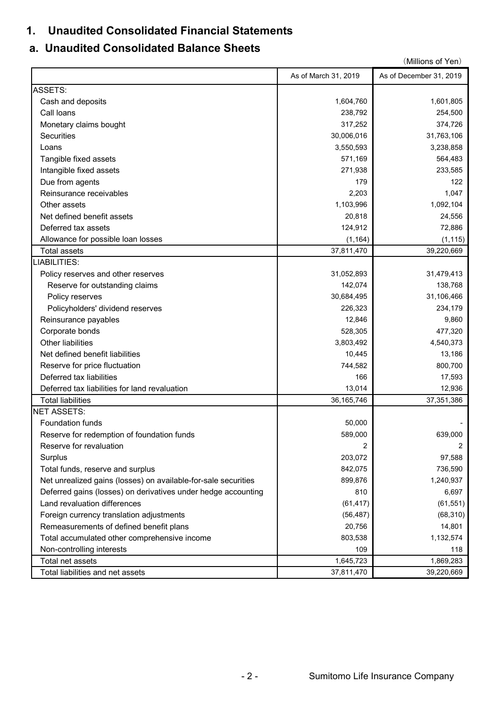## **1. Unaudited Consolidated Financial Statements**

# **a. Unaudited Consolidated Balance Sheets**

|                                                                |                      | (Millions of Yen)       |
|----------------------------------------------------------------|----------------------|-------------------------|
|                                                                | As of March 31, 2019 | As of December 31, 2019 |
| <b>ASSETS:</b>                                                 |                      |                         |
| Cash and deposits                                              | 1,604,760            | 1,601,805               |
| Call loans                                                     | 238,792              | 254,500                 |
| Monetary claims bought                                         | 317,252              | 374,726                 |
| <b>Securities</b>                                              | 30,006,016           | 31,763,106              |
| Loans                                                          | 3,550,593            | 3,238,858               |
| Tangible fixed assets                                          | 571,169              | 564,483                 |
| Intangible fixed assets                                        | 271,938              | 233,585                 |
| Due from agents                                                | 179                  | 122                     |
| Reinsurance receivables                                        | 2,203                | 1,047                   |
| Other assets                                                   | 1,103,996            | 1,092,104               |
| Net defined benefit assets                                     | 20,818               | 24,556                  |
| Deferred tax assets                                            | 124,912              | 72,886                  |
| Allowance for possible loan losses                             | (1, 164)             | (1, 115)                |
| <b>Total assets</b>                                            | 37,811,470           | 39,220,669              |
| LIABILITIES:                                                   |                      |                         |
| Policy reserves and other reserves                             | 31,052,893           | 31,479,413              |
| Reserve for outstanding claims                                 | 142,074              | 138,768                 |
| Policy reserves                                                | 30,684,495           | 31,106,466              |
| Policyholders' dividend reserves                               | 226,323              | 234,179                 |
| Reinsurance payables                                           | 12,846               | 9,860                   |
| Corporate bonds                                                | 528,305              | 477,320                 |
| Other liabilities                                              | 3,803,492            | 4,540,373               |
| Net defined benefit liabilities                                | 10,445               | 13,186                  |
| Reserve for price fluctuation                                  | 744,582              | 800,700                 |
| Deferred tax liabilities                                       | 166                  | 17,593                  |
| Deferred tax liabilities for land revaluation                  | 13,014               | 12,936                  |
| <b>Total liabilities</b>                                       | 36, 165, 746         | 37,351,386              |
| <b>NET ASSETS:</b>                                             |                      |                         |
| Foundation funds                                               | 50,000               |                         |
| Reserve for redemption of foundation funds                     | 589,000              | 639,000                 |
| Reserve for revaluation                                        | $\overline{2}$       |                         |
| Surplus                                                        | 203,072              | 97,588                  |
| Total funds, reserve and surplus                               | 842,075              | 736,590                 |
| Net unrealized gains (losses) on available-for-sale securities | 899,876              | 1,240,937               |
| Deferred gains (losses) on derivatives under hedge accounting  | 810                  | 6,697                   |
| Land revaluation differences                                   | (61, 417)            | (61, 551)               |
| Foreign currency translation adjustments                       | (56, 487)            | (68, 310)               |
| Remeasurements of defined benefit plans                        | 20,756               | 14,801                  |
| Total accumulated other comprehensive income                   | 803,538              | 1,132,574               |
| Non-controlling interests                                      | 109                  | 118                     |
| Total net assets                                               | 1,645,723            | 1,869,283               |
| Total liabilities and net assets                               | 37,811,470           | 39,220,669              |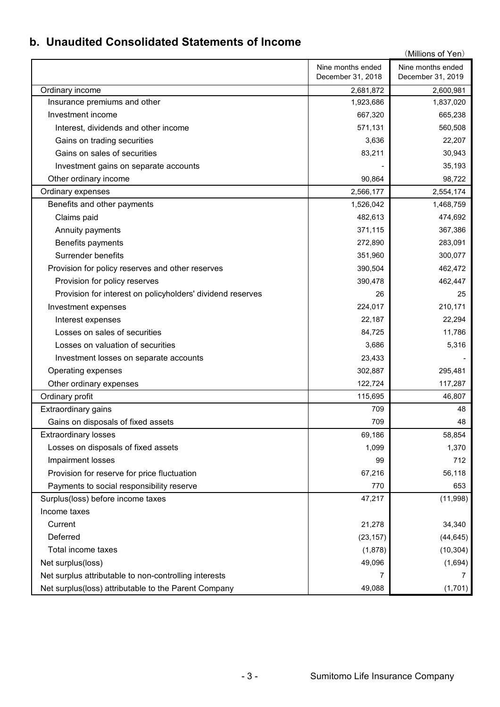# **b. Unaudited Consolidated Statements of Income**

|                                                            |                   | (Millions of Yen) |
|------------------------------------------------------------|-------------------|-------------------|
|                                                            | Nine months ended | Nine months ended |
|                                                            | December 31, 2018 | December 31, 2019 |
| Ordinary income                                            | 2,681,872         | 2,600,981         |
| Insurance premiums and other                               | 1,923,686         | 1,837,020         |
| Investment income                                          | 667,320           | 665,238           |
| Interest, dividends and other income                       | 571,131           | 560,508           |
| Gains on trading securities                                | 3,636             | 22,207            |
| Gains on sales of securities                               | 83,211            | 30,943            |
| Investment gains on separate accounts                      |                   | 35,193            |
| Other ordinary income                                      | 90,864            | 98,722            |
| Ordinary expenses                                          | 2,566,177         | 2,554,174         |
| Benefits and other payments                                | 1,526,042         | 1,468,759         |
| Claims paid                                                | 482,613           | 474,692           |
| Annuity payments                                           | 371,115           | 367,386           |
| Benefits payments                                          | 272,890           | 283,091           |
| Surrender benefits                                         | 351,960           | 300,077           |
| Provision for policy reserves and other reserves           | 390,504           | 462,472           |
| Provision for policy reserves                              | 390,478           | 462,447           |
| Provision for interest on policyholders' dividend reserves | 26                | 25                |
| Investment expenses                                        | 224,017           | 210,171           |
| Interest expenses                                          | 22,187            | 22,294            |
| Losses on sales of securities                              | 84,725            | 11,786            |
| Losses on valuation of securities                          | 3,686             | 5,316             |
| Investment losses on separate accounts                     | 23,433            |                   |
| Operating expenses                                         | 302,887           | 295,481           |
| Other ordinary expenses                                    | 122,724           | 117,287           |
| Ordinary profit                                            | 115,695           | 46,807            |
| Extraordinary gains                                        | 709               | 48                |
| Gains on disposals of fixed assets                         | 709               | 48                |
| <b>Extraordinary losses</b>                                | 69,186            | 58,854            |
| Losses on disposals of fixed assets                        | 1,099             | 1,370             |
| Impairment losses                                          | 99                | 712               |
| Provision for reserve for price fluctuation                | 67,216            | 56,118            |
| Payments to social responsibility reserve                  | 770               | 653               |
| Surplus(loss) before income taxes                          | 47,217            | (11,998)          |
| Income taxes                                               |                   |                   |
| Current                                                    | 21,278            | 34,340            |
| Deferred                                                   | (23, 157)         | (44, 645)         |
| Total income taxes                                         | (1,878)           | (10, 304)         |
| Net surplus(loss)                                          | 49,096            | (1,694)           |
| Net surplus attributable to non-controlling interests      | 7                 | 7                 |
| Net surplus(loss) attributable to the Parent Company       | 49,088            | (1,701)           |
|                                                            |                   |                   |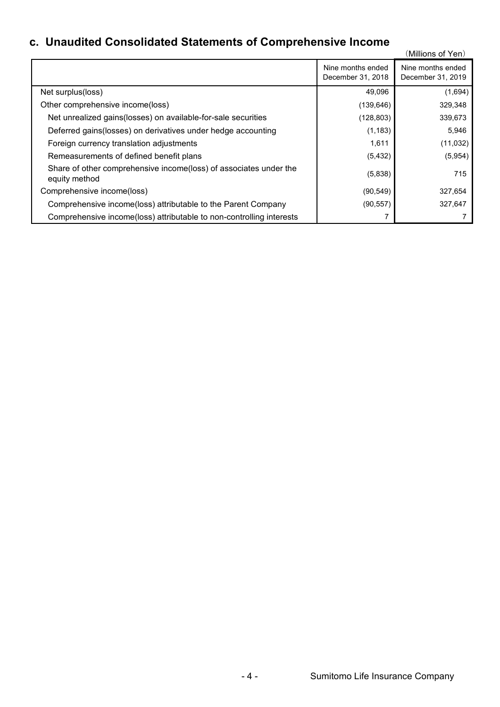# **c. Unaudited Consolidated Statements of Comprehensive Income**

| Unduultu Oonsonuditu olditiilisiits ol Ooniprenensive income                       |                                        | (Millions of Yen)                      |
|------------------------------------------------------------------------------------|----------------------------------------|----------------------------------------|
|                                                                                    | Nine months ended<br>December 31, 2018 | Nine months ended<br>December 31, 2019 |
| Net surplus(loss)                                                                  | 49,096                                 | (1,694)                                |
| Other comprehensive income(loss)                                                   | (139, 646)                             | 329,348                                |
| Net unrealized gains(losses) on available-for-sale securities                      | (128, 803)                             | 339,673                                |
| Deferred gains (losses) on derivatives under hedge accounting                      | (1, 183)                               | 5,946                                  |
| Foreign currency translation adjustments                                           | 1,611                                  | (11, 032)                              |
| Remeasurements of defined benefit plans                                            | (5, 432)                               | (5,954)                                |
| Share of other comprehensive income(loss) of associates under the<br>equity method | (5,838)                                | 715                                    |
| Comprehensive income(loss)                                                         | (90, 549)                              | 327,654                                |
| Comprehensive income(loss) attributable to the Parent Company                      | (90, 557)                              | 327,647                                |
| Comprehensive income(loss) attributable to non-controlling interests               | 7                                      |                                        |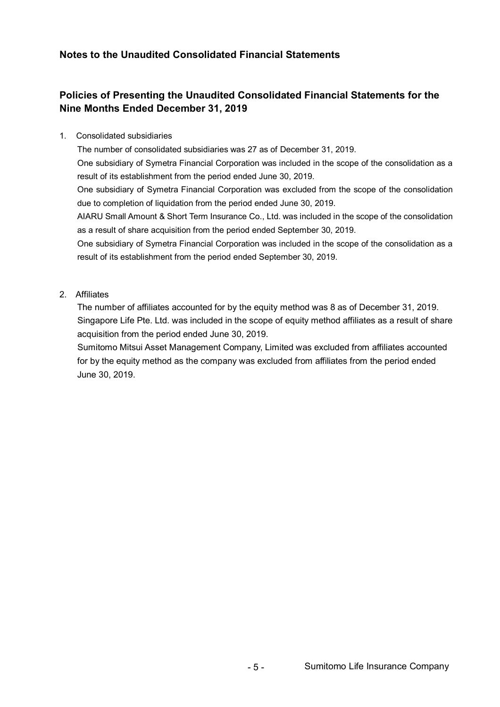## **Notes to the Unaudited Consolidated Financial Statements**

## **Policies of Presenting the Unaudited Consolidated Financial Statements for the Nine Months Ended December 31, 2019**

#### 1. Consolidated subsidiaries

The number of consolidated subsidiaries was 27 as of December 31, 2019.

One subsidiary of Symetra Financial Corporation was included in the scope of the consolidation as a result of its establishment from the period ended June 30, 2019.

One subsidiary of Symetra Financial Corporation was excluded from the scope of the consolidation due to completion of liquidation from the period ended June 30, 2019.

AIARU Small Amount & Short Term Insurance Co., Ltd. was included in the scope of the consolidation as a result of share acquisition from the period ended September 30, 2019.

One subsidiary of Symetra Financial Corporation was included in the scope of the consolidation as a result of its establishment from the period ended September 30, 2019.

#### 2. Affiliates

The number of affiliates accounted for by the equity method was 8 as of December 31, 2019. Singapore Life Pte. Ltd. was included in the scope of equity method affiliates as a result of share acquisition from the period ended June 30, 2019.

Sumitomo Mitsui Asset Management Company, Limited was excluded from affiliates accounted for by the equity method as the company was excluded from affiliates from the period ended June 30, 2019.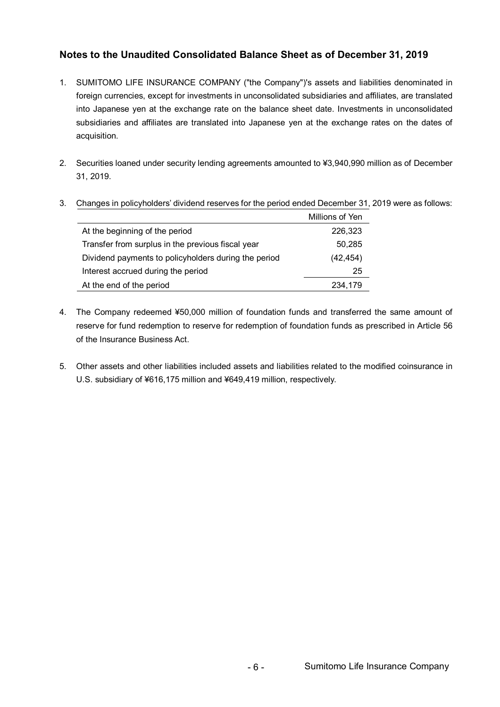## **Notes to the Unaudited Consolidated Balance Sheet as of December 31, 2019**

- 1. SUMITOMO LIFE INSURANCE COMPANY ("the Company")'s assets and liabilities denominated in foreign currencies, except for investments in unconsolidated subsidiaries and affiliates, are translated into Japanese yen at the exchange rate on the balance sheet date. Investments in unconsolidated subsidiaries and affiliates are translated into Japanese yen at the exchange rates on the dates of acquisition.
- 2. Securities loaned under security lending agreements amounted to ¥3,940,990 million as of December 31, 2019.

|                                                      | Millions of Yen |
|------------------------------------------------------|-----------------|
| At the beginning of the period                       | 226,323         |
| Transfer from surplus in the previous fiscal year    | 50,285          |
| Dividend payments to policyholders during the period | (42, 454)       |
| Interest accrued during the period                   | 25              |
| At the end of the period                             | 234,179         |

3. Changes in policyholders' dividend reserves for the period ended December 31, 2019 were as follows:

- 4. The Company redeemed ¥50,000 million of foundation funds and transferred the same amount of reserve for fund redemption to reserve for redemption of foundation funds as prescribed in Article 56 of the Insurance Business Act.
- 5. Other assets and other liabilities included assets and liabilities related to the modified coinsurance in U.S. subsidiary of ¥616,175 million and ¥649,419 million, respectively.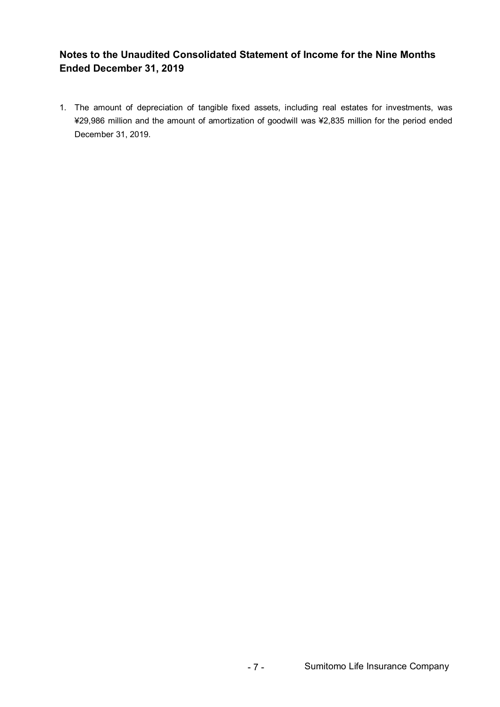## **Notes to the Unaudited Consolidated Statement of Income for the Nine Months Ended December 31, 2019**

1. The amount of depreciation of tangible fixed assets, including real estates for investments, was ¥29,986 million and the amount of amortization of goodwill was ¥2,835 million for the period ended December 31, 2019.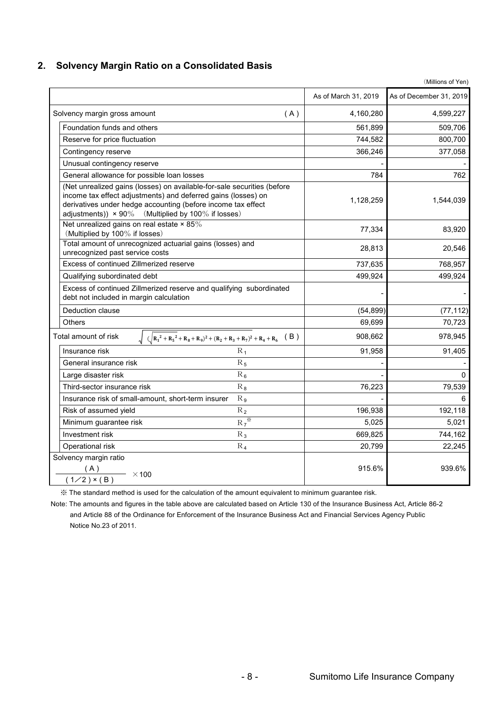#### **2. Solvency Margin Ratio on a Consolidated Basis**

|                                                                                                                                                                                                                                                                       |                    | As of March 31, 2019 | As of December 31, 2019 |
|-----------------------------------------------------------------------------------------------------------------------------------------------------------------------------------------------------------------------------------------------------------------------|--------------------|----------------------|-------------------------|
| Solvency margin gross amount                                                                                                                                                                                                                                          | (A)                | 4,160,280            | 4,599,227               |
| Foundation funds and others                                                                                                                                                                                                                                           |                    | 561,899              | 509,706                 |
| Reserve for price fluctuation                                                                                                                                                                                                                                         |                    | 744,582              | 800,700                 |
| Contingency reserve                                                                                                                                                                                                                                                   |                    | 366,246              | 377,058                 |
| Unusual contingency reserve                                                                                                                                                                                                                                           |                    |                      |                         |
| General allowance for possible loan losses                                                                                                                                                                                                                            |                    | 784                  | 762                     |
| (Net unrealized gains (losses) on available-for-sale securities (before<br>income tax effect adjustments) and deferred gains (losses) on<br>derivatives under hedge accounting (before income tax effect<br>adjustments)) $\times$ 90% (Multiplied by 100% if losses) |                    | 1,128,259            | 1,544,039               |
| Net unrealized gains on real estate $\times$ 85%<br>(Multiplied by 100% if losses)                                                                                                                                                                                    |                    | 77,334               | 83,920                  |
| Total amount of unrecognized actuarial gains (losses) and<br>unrecognized past service costs                                                                                                                                                                          |                    | 28,813               | 20,546                  |
| Excess of continued Zillmerized reserve                                                                                                                                                                                                                               |                    | 737,635              | 768,957                 |
| Qualifying subordinated debt                                                                                                                                                                                                                                          |                    | 499,924              | 499,924                 |
| Excess of continued Zillmerized reserve and qualifying subordinated<br>debt not included in margin calculation                                                                                                                                                        |                    |                      |                         |
| Deduction clause                                                                                                                                                                                                                                                      |                    | (54, 899)            | (77, 112)               |
| <b>Others</b>                                                                                                                                                                                                                                                         |                    | 69,699               | 70,723                  |
| $\int (\sqrt{R_1^2 + R_5^2 + R_8 + R_9)^2 + (R_2 + R_3 + R_7)^2 + R_4 + R_6}$ (B)<br>Total amount of risk                                                                                                                                                             |                    | 908,662              | 978,945                 |
| Insurance risk                                                                                                                                                                                                                                                        | $R_1$              | 91,958               | 91,405                  |
| General insurance risk                                                                                                                                                                                                                                                | $R_5$              |                      |                         |
| Large disaster risk                                                                                                                                                                                                                                                   | $R_6$              |                      | $\Omega$                |
| Third-sector insurance risk                                                                                                                                                                                                                                           | $R_8$              | 76,223               | 79,539                  |
| Insurance risk of small-amount, short-term insurer                                                                                                                                                                                                                    | $R_9$              |                      | 6                       |
| Risk of assumed yield                                                                                                                                                                                                                                                 | $R_2$              | 196,938              | 192,118                 |
| Minimum guarantee risk                                                                                                                                                                                                                                                | $R_7$ <sup>*</sup> | 5,025                | 5,021                   |
| Investment risk                                                                                                                                                                                                                                                       | $R_3$              | 669,825              | 744,162                 |
| Operational risk                                                                                                                                                                                                                                                      | $\rm R_4$          | 20,799               | 22,245                  |
| Solvency margin ratio<br>$\frac{(A)}{(1/2) \times (B)}$ × 100                                                                                                                                                                                                         |                    | 915.6%               | 939.6%                  |
|                                                                                                                                                                                                                                                                       |                    |                      |                         |

※ The standard method is used for the calculation of the amount equivalent to minimum guarantee risk.

Note: The amounts and figures in the table above are calculated based on Article 130 of the Insurance Business Act, Article 86-2 and Article 88 of the Ordinance for Enforcement of the Insurance Business Act and Financial Services Agency Public Notice No.23 of 2011.

(Millions of Yen)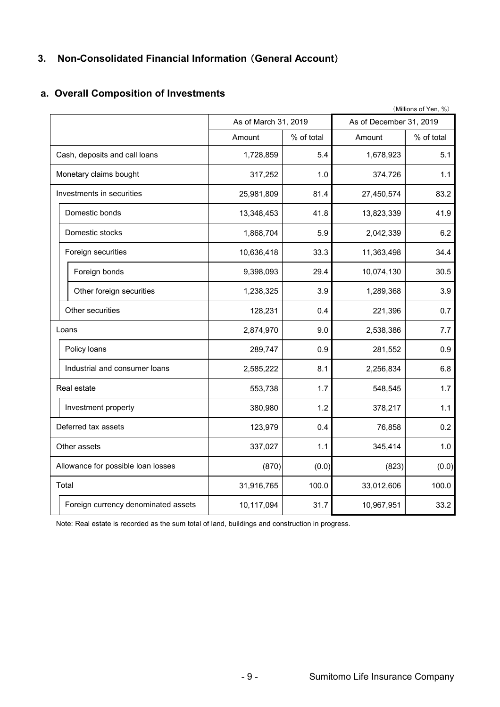## **3. Non-Consolidated Financial Information** (**General Account**)

## **a. Overall Composition of Investments**

|                                     | (Millions of Yen, %) |            |                         |            |  |  |
|-------------------------------------|----------------------|------------|-------------------------|------------|--|--|
|                                     | As of March 31, 2019 |            | As of December 31, 2019 |            |  |  |
|                                     | Amount               | % of total | Amount                  | % of total |  |  |
| Cash, deposits and call loans       | 1,728,859            | 5.4        | 1,678,923               | 5.1        |  |  |
| Monetary claims bought              | 317,252              | 1.0        | 374,726                 | 1.1        |  |  |
| Investments in securities           | 25,981,809           | 81.4       | 27,450,574              | 83.2       |  |  |
| Domestic bonds                      | 13,348,453           | 41.8       | 13,823,339              | 41.9       |  |  |
| Domestic stocks                     | 1,868,704            | 5.9        | 2,042,339               | 6.2        |  |  |
| Foreign securities                  | 10,636,418           | 33.3       | 11,363,498              | 34.4       |  |  |
| Foreign bonds                       | 9,398,093            | 29.4       | 10,074,130              | 30.5       |  |  |
| Other foreign securities            | 1,238,325            | 3.9        | 1,289,368               | 3.9        |  |  |
| Other securities                    | 128,231              | 0.4        | 221,396                 | 0.7        |  |  |
| Loans                               | 2,874,970            | 9.0        | 2,538,386               | 7.7        |  |  |
| Policy loans                        | 289,747              | 0.9        | 281,552                 | 0.9        |  |  |
| Industrial and consumer loans       | 2,585,222            | 8.1        | 2,256,834               | 6.8        |  |  |
| Real estate                         | 553,738              | 1.7        | 548,545                 | 1.7        |  |  |
| Investment property                 | 380,980              | 1.2        | 378,217                 | 1.1        |  |  |
| Deferred tax assets                 | 123,979              | 0.4        | 76,858                  | 0.2        |  |  |
| Other assets                        | 337,027              | 1.1        | 345,414                 | 1.0        |  |  |
| Allowance for possible loan losses  | (870)                | (0.0)      | (823)                   | (0.0)      |  |  |
| Total                               | 31,916,765           | 100.0      | 33,012,606              | 100.0      |  |  |
| Foreign currency denominated assets | 10,117,094           | 31.7       | 10,967,951              | 33.2       |  |  |

Note: Real estate is recorded as the sum total of land, buildings and construction in progress.